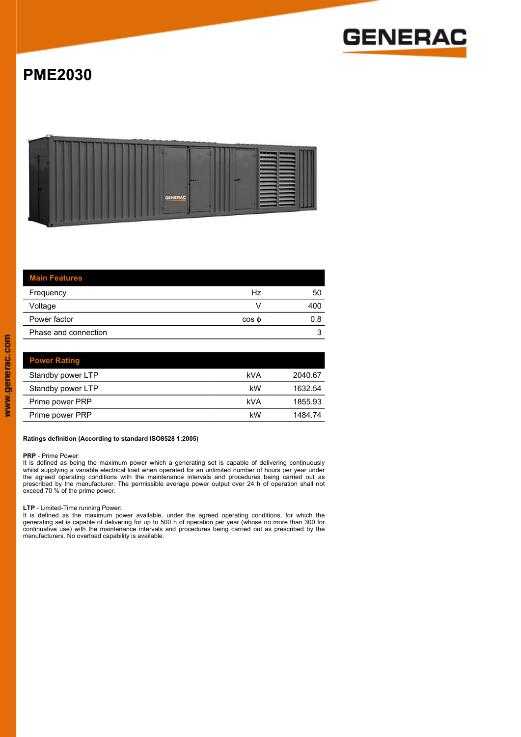

# **PME2030**



| <b>Main Features</b> |             |     |
|----------------------|-------------|-----|
| Frequency            | Hz          | 50  |
| Voltage              |             | 400 |
| Power factor         | $\cos \phi$ | 0.8 |
| Phase and connection |             |     |
|                      |             |     |

| <b>Power Rating</b> |     |         |
|---------------------|-----|---------|
| Standby power LTP   | kVA | 2040.67 |
| Standby power LTP   | kW  | 1632.54 |
| Prime power PRP     | kVA | 1855.93 |
| Prime power PRP     | kW  | 1484.74 |

#### **Ratings definition (According to standard ISO8528 1:2005)**

### **PRP** - Prime Power:

It is defined as being the maximum power which a generating set is capable of delivering continuously<br>whilst supplying a variable electrical load when operated for an unlimited number of hours per year under<br>the agreed ope

#### **LTP** - Limited-Time running Power:

It is defined as the maximum power available, under the agreed operating conditions, for which the<br>generating set is capable of delivering for up to 500 h of operation per year (whose no more than 300 for<br>continuative use)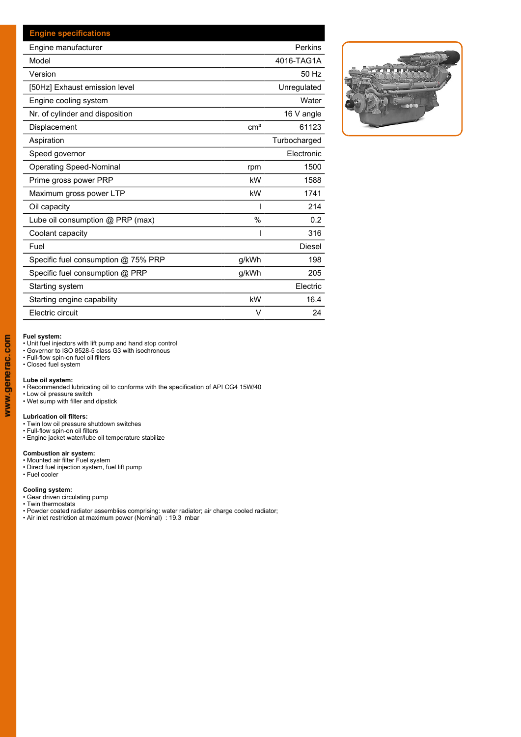| <b>Engine specifications</b>        |                 |               |
|-------------------------------------|-----------------|---------------|
| Engine manufacturer                 |                 | Perkins       |
| Model                               |                 | 4016-TAG1A    |
| Version                             |                 | 50 Hz         |
| [50Hz] Exhaust emission level       |                 | Unregulated   |
| Engine cooling system               |                 | Water         |
| Nr. of cylinder and disposition     |                 | 16 V angle    |
| Displacement                        | cm <sup>3</sup> | 61123         |
| Aspiration                          |                 | Turbocharged  |
| Speed governor                      |                 | Electronic    |
| <b>Operating Speed-Nominal</b>      | rpm             | 1500          |
| Prime gross power PRP               | kW              | 1588          |
| Maximum gross power LTP             | kW              | 1741          |
| Oil capacity                        |                 | 214           |
| Lube oil consumption @ PRP (max)    | $\frac{0}{0}$   | 0.2           |
| Coolant capacity                    |                 | 316           |
| Fuel                                |                 | <b>Diesel</b> |
| Specific fuel consumption @ 75% PRP | g/kWh           | 198           |
| Specific fuel consumption @ PRP     | g/kWh           | 205           |
| Starting system                     |                 | Electric      |
| Starting engine capability          | kW              | 16.4          |
| Electric circuit                    | V               | 24            |



#### **Fuel system:**

• Unit fuel injectors with lift pump and hand stop control

• Governor to ISO 8528-5 class G3 with isochronous • Full-flow spin-on fuel oil filters • Closed fuel system

L**ube oil system:**<br>• Recommended lubricating oil to conforms with the specification of API CG4 15W/40<br>• Low oil pressure switch<br>• Wet sump with filler and dipstick

- 
- 

- 
- 
- L**ubrication oil filters:**<br>• Twin low oil pressure shutdown switches<br>• Full-flow spin-on oil filters<br>• Engine jacket water/lube oil temperature stabilize

- 
- **Combustion air system:**<br>• Mounted air filter Fuel system<br>• Direct fuel injection system, fuel lift pump<br>• Fuel cooler

- **Cooling system:**<br>• Gear driven circulating pump<br>• Twin thermostats
- 
- Powder coated radiator assemblies comprising: water radiator; air charge cooled radiator;<br>• Air inlet restriction at maximum power (Nominal) : 19.3 mbar
-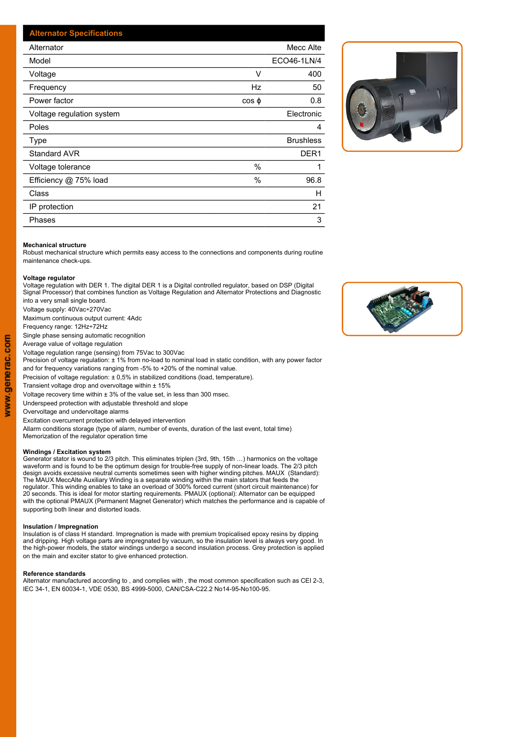| <b>Alternator Specifications</b> |                  |             |  |
|----------------------------------|------------------|-------------|--|
| Alternator                       |                  | Mecc Alte   |  |
| Model                            |                  | ECO46-1LN/4 |  |
| Voltage                          | V                | 400         |  |
| Frequency                        | Hz               | 50          |  |
| Power factor                     | $\cos \phi$      | 0.8         |  |
| Voltage regulation system        |                  | Electronic  |  |
| Poles                            |                  | 4           |  |
| Type                             | <b>Brushless</b> |             |  |
| <b>Standard AVR</b>              |                  | DER1        |  |
| Voltage tolerance                | $\%$             |             |  |
| Efficiency @ 75% load            | $\%$             | 96.8        |  |
| Class                            |                  | H           |  |
| IP protection                    |                  | 21          |  |
| Phases                           |                  | 3           |  |



#### **Mechanical structure**

Robust mechanical structure which permits easy access to the connections and components during routine maintenance check-ups.

#### **Voltage regulator**

Voltage regulation with DER 1. The digital DER 1 is a Digital controlled regulator, based on DSP (Digital Signal Processor) that combines function as Voltage Regulation and Alternator Protections and Diagnostic into a very small single board.

Voltage supply: 40Vac÷270Vac

Maximum continuous output current: 4Adc

Frequency range: 12Hz÷72Hz

Single phase sensing automatic recognition

Average value of voltage regulation

Voltage regulation range (sensing) from 75Vac to 300Vac Precision of voltage regulation: ± 1% from no-load to nominal load in static condition, with any power factor

and for frequency variations ranging from -5% to +20% of the nominal value.

Precision of voltage regulation: ± 0,5% in stabilized conditions (load, temperature).

Transient voltage drop and overvoltage within ± 15%

Voltage recovery time within  $\pm 3\%$  of the value set, in less than 300 msec.

Underspeed protection with adjustable threshold and slope

Overvoltage and undervoltage alarms

Excitation overcurrent protection with delayed intervention

Allarm conditions storage (type of alarm, number of events, duration of the last event, total time) Memorization of the regulator operation time

#### **Windings / Excitation system**

Generator stator is wound to 2/3 pitch. This eliminates triplen (3rd, 9th, 15th …) harmonics on the voltage waveform and is found to be the optimum design for trouble-free supply of non-linear loads. The 2/3 pitch design avoids excessive neutral currents sometimes seen with higher winding pitches. MAUX (Standard): The MAUX MeccAlte Auxiliary Winding is a separate winding within the main stators that feeds the regulator. This winding enables to take an overload of 300% forced current (short circuit maintenance) for 20 seconds. This is ideal for motor starting requirements. PMAUX (optional): Alternator can be equipped with the optional PMAUX (Permanent Magnet Generator) which matches the performance and is capable of supporting both linear and distorted loads.

#### **Insulation / Impregnation**

Insulation is of class H standard. Impregnation is made with premium tropicalised epoxy resins by dipping and dripping. High voltage parts are impregnated by vacuum, so the insulation level is always very good. In the high-power models, the stator windings undergo a second insulation process. Grey protection is applied on the main and exciter stator to give enhanced protection.

#### **Reference standards**

Alternator manufactured according to , and complies with , the most common specification such as CEI 2-3, IEC 34-1, EN 60034-1, VDE 0530, BS 4999-5000, CAN/CSA-C22.2 No14-95-No100-95.

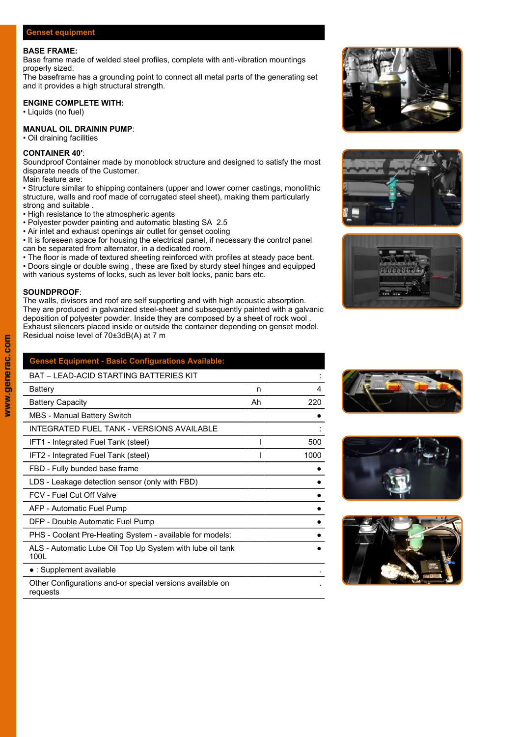# **Genset equipment**

#### **BASE FRAME:**

Base frame made of welded steel profiles, complete with anti-vibration mountings properly sized.

The baseframe has a grounding point to connect all metal parts of the generating set and it provides a high structural strength.

# **ENGINE COMPLETE WITH:**

• Liquids (no fuel)

# **MANUAL OIL DRAININ PUMP**:

• Oil draining facilities

# **CONTAINER 40'**:

Soundproof Container made by monoblock structure and designed to satisfy the most disparate needs of the Customer.

Main feature are:

- Structure similar to shipping containers (upper and lower corner castings, monolithic structure, walls and roof made of corrugated steel sheet), making them particularly strong and suitable .
- High resistance to the atmospheric agents
- Polyester powder painting and automatic blasting SA 2.5
- Air inlet and exhaust openings air outlet for genset cooling
- It is foreseen space for housing the electrical panel, if necessary the control panel can be separated from alternator, in a dedicated room.
- The floor is made of textured sheeting reinforced with profiles at steady pace bent.
- Doors single or double swing , these are fixed by sturdy steel hinges and equipped
- with various systems of locks, such as lever bolt locks, panic bars etc.

### **SOUNDPROOF**:

The walls, divisors and roof are self supporting and with high acoustic absorption. They are produced in galvanized steel-sheet and subsequently painted with a galvanic deposition of polyester powder. Inside they are composed by a sheet of rock wool . Exhaust silencers placed inside or outside the container depending on genset model. Residual noise level of 70±3dB(A) at 7 m

| <b>Genset Equipment - Basic Configurations Available:</b>         |    |      |
|-------------------------------------------------------------------|----|------|
| <b>BAT - LEAD-ACID STARTING BATTERIES KIT</b>                     |    |      |
| <b>Battery</b>                                                    | n  | 4    |
| <b>Battery Capacity</b>                                           | Ah | 220  |
| <b>MBS</b> - Manual Battery Switch                                |    |      |
| INTEGRATED FUEL TANK - VERSIONS AVAILABLE                         |    |      |
| IFT1 - Integrated Fuel Tank (steel)                               |    | 500  |
| IFT2 - Integrated Fuel Tank (steel)                               |    | 1000 |
| FBD - Fully bunded base frame                                     |    |      |
| LDS - Leakage detection sensor (only with FBD)                    |    |      |
| FCV - Fuel Cut Off Valve                                          |    |      |
| AFP - Automatic Fuel Pump                                         |    |      |
| DFP - Double Automatic Fuel Pump                                  |    |      |
| PHS - Coolant Pre-Heating System - available for models:          |    |      |
| ALS - Automatic Lube Oil Top Up System with lube oil tank<br>100L |    |      |
| $\bullet$ : Supplement available                                  |    |      |
| Other Configurations and-or special versions available on         |    |      |













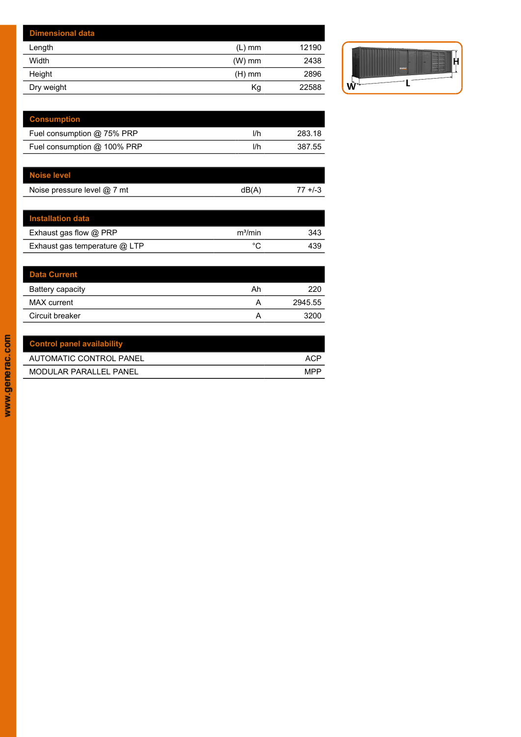| <b>Dimensional data</b> |          |       |   |
|-------------------------|----------|-------|---|
| Length                  | $(L)$ mm | 12190 |   |
| Width                   | $(W)$ mm | 2438  |   |
| Height                  | $(H)$ mm | 2896  |   |
| Dry weight              | Kg       | 22588 | w |



| <b>Consumption</b>          |     |        |
|-----------------------------|-----|--------|
| Fuel consumption @ 75% PRP  | l/h | 283.18 |
| Fuel consumption @ 100% PRP | l/h | 387.55 |

| <b>Noise level</b>          |       |           |
|-----------------------------|-------|-----------|
| Noise pressure level @ 7 mt | dB(A) | $7 + 1.3$ |

| <b>Installation data</b>        |                     |     |
|---------------------------------|---------------------|-----|
| Exhaust gas flow @ PRP          | m <sup>3</sup> /min | 343 |
| Exhaust gas temperature $@$ LTP | $\circ$             | 439 |

| <b>Data Current</b> |    |         |
|---------------------|----|---------|
| Battery capacity    | Ah | 220     |
| MAX current         | A  | 2945.55 |
| Circuit breaker     |    | 3200    |

l,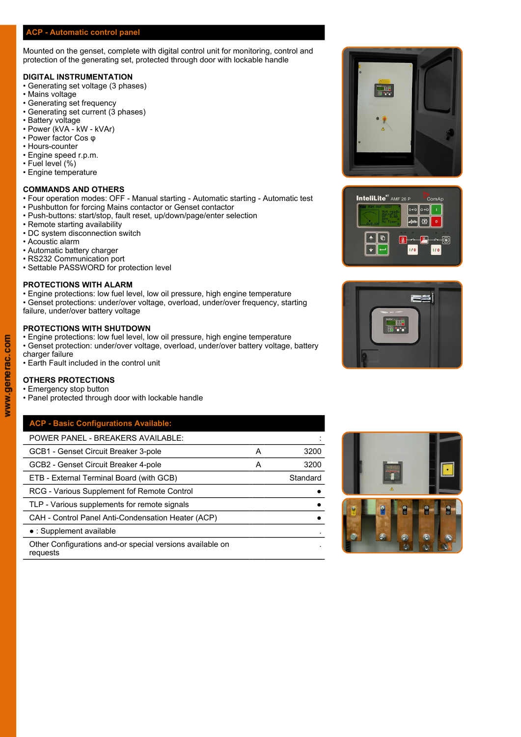# **ACP - Automatic control panel**

Mounted on the genset, complete with digital control unit for monitoring, control and protection of the generating set, protected through door with lockable handle

# **DIGITAL INSTRUMENTATION**

- Generating set voltage (3 phases)
- Mains voltage
- Generating set frequency
- Generating set current (3 phases)
- Battery voltage
- Power (kVA kW kVAr)
- Power factor Cos φ
- Hours-counter • Engine speed r.p.m.
- Fuel level (%)
- Engine temperature

#### **COMMANDS AND OTHERS**

- Four operation modes: OFF Manual starting Automatic starting Automatic test **The Intellate**" AMF 26 P
- Pushbutton for forcing Mains contactor or Genset contactor
- Push-buttons: start/stop, fault reset, up/down/page/enter selection
- Remote starting availability
- DC system disconnection switch
- Acoustic alarm
- Automatic battery charger
- RS232 Communication port
- Settable PASSWORD for protection level

# **PROTECTIONS WITH ALARM**

- Engine protections: low fuel level, low oil pressure, high engine temperature
- Genset protections: under/over voltage, overload, under/over frequency, starting failure, under/over battery voltage

### **PROTECTIONS WITH SHUTDOWN**

- Engine protections: low fuel level, low oil pressure, high engine temperature
- Genset protection: under/over voltage, overload, under/over battery voltage, battery charger failure
- Earth Fault included in the control unit

#### **OTHERS PROTECTIONS**

- Emergency stop button
- Panel protected through door with lockable handle

# **ACP - Basic Configurations Available:**

| <b>POWER PANEL - BREAKERS AVAILABLE:</b>                              |   |          |  |  |               |
|-----------------------------------------------------------------------|---|----------|--|--|---------------|
| GCB1 - Genset Circuit Breaker 3-pole                                  | А | 3200     |  |  |               |
| GCB2 - Genset Circuit Breaker 4-pole                                  | A | 3200     |  |  |               |
| ETB - External Terminal Board (with GCB)                              |   | Standard |  |  |               |
| RCG - Various Supplement fof Remote Control                           |   |          |  |  |               |
| TLP - Various supplements for remote signals                          |   |          |  |  | $\frac{1}{2}$ |
| CAH - Control Panel Anti-Condensation Heater (ACP)                    |   |          |  |  |               |
| $\bullet$ : Supplement available                                      |   |          |  |  |               |
| Other Configurations and-or special versions available on<br>requests |   |          |  |  |               |







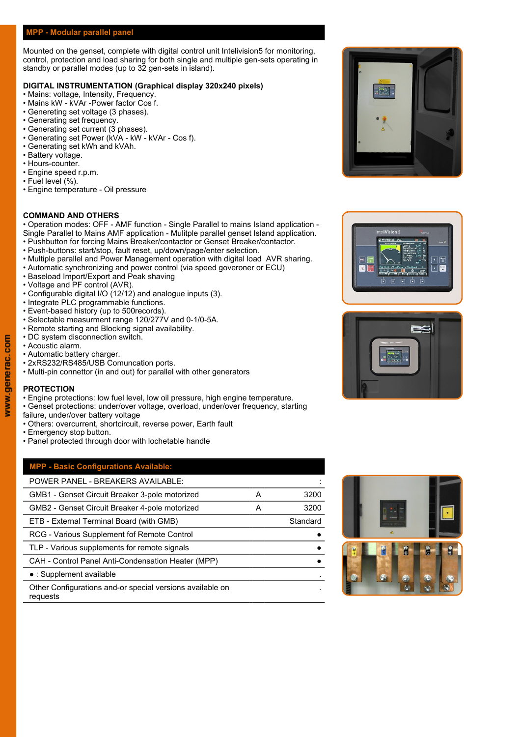# **MPP - Modular parallel panel**

Mounted on the genset, complete with digital control unit Intelivision5 for monitoring, control, protection and load sharing for both single and multiple gen-sets operating in standby or parallel modes (up to 32 gen-sets in island).

## **DIGITAL INSTRUMENTATION (Graphical display 320x240 pixels)**

- Mains: voltage, Intensity, Frequency.
- Mains kW kVAr -Power factor Cos f.
- Genereting set voltage (3 phases).
- Generating set frequency.
- Generating set current (3 phases).
- Generating set Power (kVA kW kVAr Cos f).
- Generating set kWh and kVAh.
- Battery voltage.
- Hours-counter.
- Engine speed r.p.m. • Fuel level (%).
- Engine temperature Oil pressure

### **COMMAND AND OTHERS**

• Operation modes: OFF - AMF function - Single Parallel to mains Island application - Single Parallel to Mains AMF application - Mulitple parallel genset Island application. • Pushbutton for forcing Mains Breaker/contactor or Genset Breaker/contactor.

- Push-buttons: start/stop, fault reset, up/down/page/enter selection.
- Multiple parallel and Power Management operation with digital load AVR sharing.
- Automatic synchronizing and power control (via speed goveroner or ECU)
- Baseload Import/Export and Peak shaving
- Voltage and PF control (AVR).
- Configurable digital I/O (12/12) and analogue inputs (3).
- Integrate PLC programmable functions.
- Event-based history (up to 500records).
- Selectable measurment range 120/277V and 0-1/0-5A.
- Remote starting and Blocking signal availability.
- DC system disconnection switch.
- Acoustic alarm.
- Automatic battery charger.
- 2xRS232/RS485/USB Comuncation ports.
- Multi-pin connettor (in and out) for parallel with other generators

# **PROTECTION**

- Engine protections: low fuel level, low oil pressure, high engine temperature.
- Genset protections: under/over voltage, overload, under/over frequency, starting
- failure, under/over battery voltage
- Others: overcurrent, shortcircuit, reverse power, Earth fault
- Emergency stop button.
- Panel protected through door with lochetable handle

# **MPP - Basic Configurations Available:**

| <b>POWER PANEL - BREAKERS AVAILABLE:</b>                              |          |          |   |    |
|-----------------------------------------------------------------------|----------|----------|---|----|
| GMB1 - Genset Circuit Breaker 3-pole motorized                        | 3200     |          |   |    |
| GMB2 - Genset Circuit Breaker 4-pole motorized                        | 3200     |          |   |    |
| ETB - External Terminal Board (with GMB)                              | Standard |          |   |    |
| RCG - Various Supplement fof Remote Control                           |          |          |   |    |
| TLP - Various supplements for remote signals                          |          |          | 8 | I. |
| CAH - Control Panel Anti-Condensation Heater (MPP)                    |          |          |   |    |
| • : Supplement available                                              |          | $\omega$ |   |    |
| Other Configurations and-or special versions available on<br>requests |          |          |   |    |